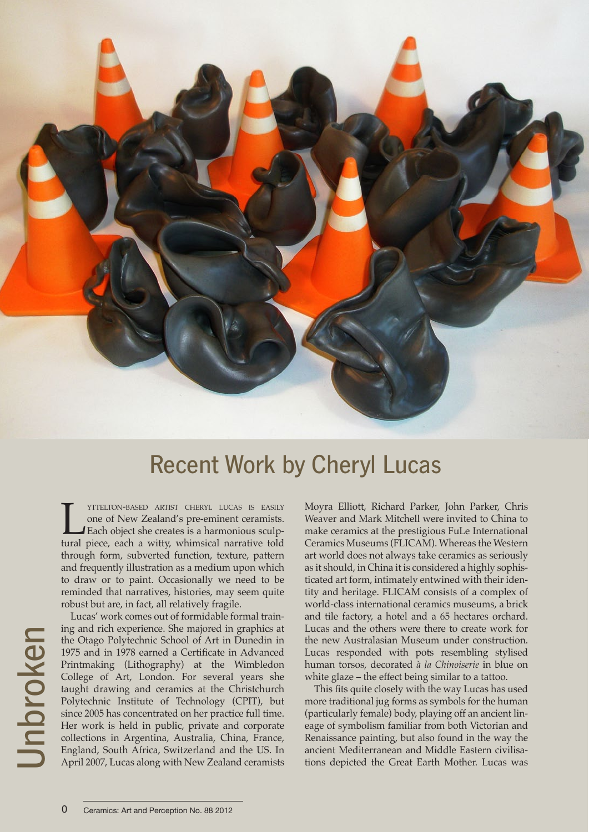

## Recent Work by Cheryl Lucas

**TTTELTON-BASED ARTIST CHERYL LUCAS IS EASILY**<br>
one of New Zealand's pre-eminent ceramists.<br>
Each object she creates is a harmonious sculptural piece, each a witty, whimsical narrative told one of New Zealand's pre-eminent ceramists. Each object she creates is a harmonious sculptural piece, each a witty, whimsical narrative told through form, subverted function, texture, pattern and frequently illustration as a medium upon which to draw or to paint. Occasionally we need to be reminded that narratives, histories, may seem quite robust but are, in fact, all relatively fragile.

Lucas' work comes out of formidable formal training and rich experience. She majored in graphics at the Otago Polytechnic School of Art in Dunedin in 1975 and in 1978 earned a Certificate in Advanced Printmaking (Lithography) at the Wimbledon College of Art, London. For several years she taught drawing and ceramics at the Christchurch Polytechnic Institute of Technology (CPIT), but since 2005 has concentrated on her practice full time. Her work is held in public, private and corporate collections in Argentina, Australia, China, France, England, South Africa, Switzerland and the US. In April 2007, Lucas along with New Zealand ceramists

Moyra Elliott, Richard Parker, John Parker, Chris Weaver and Mark Mitchell were invited to China to make ceramics at the prestigious FuLe International Ceramics Museums (FLICAM). Whereas the Western art world does not always take ceramics as seriously as it should, in China it is considered a highly sophisticated art form, intimately entwined with their identity and heritage. FLICAM consists of a complex of world-class international ceramics museums, a brick and tile factory, a hotel and a 65 hectares orchard. Lucas and the others were there to create work for the new Australasian Museum under construction. Lucas responded with pots resembling stylised human torsos, decorated *à la Chinoiserie* in blue on white glaze – the effect being similar to a tattoo.

This fits quite closely with the way Lucas has used more traditional jug forms as symbols for the human (particularly female) body, playing off an ancient lineage of symbolism familiar from both Victorian and Renaissance painting, but also found in the way the ancient Mediterranean and Middle Eastern civilisations depicted the Great Earth Mother. Lucas was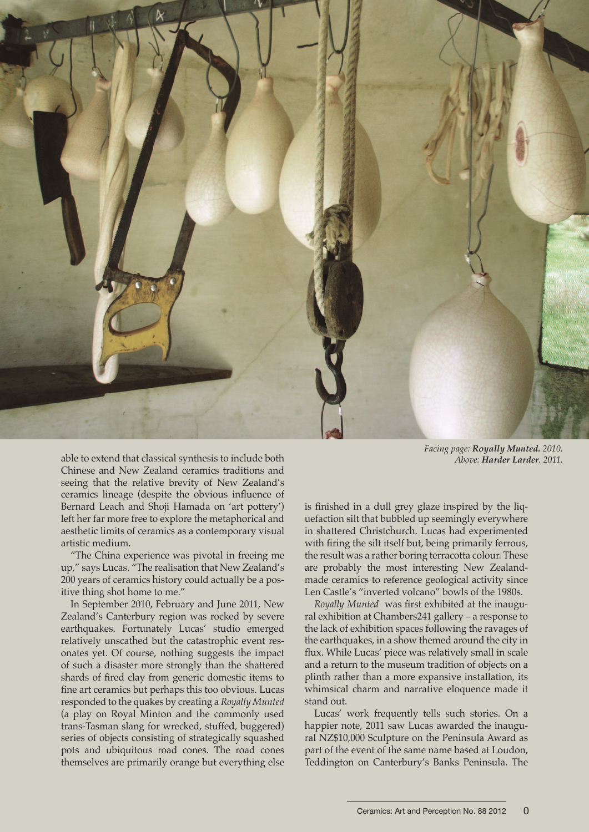

able to extend that classical synthesis to include both Chinese and New Zealand ceramics traditions and seeing that the relative brevity of New Zealand's ceramics lineage (despite the obvious influence of Bernard Leach and Shoji Hamada on 'art pottery') left her far more free to explore the metaphorical and aesthetic limits of ceramics as a contemporary visual artistic medium.

"The China experience was pivotal in freeing me up," says Lucas. "The realisation that New Zealand's 200 years of ceramics history could actually be a positive thing shot home to me."

In September 2010, February and June 2011, New Zealand's Canterbury region was rocked by severe earthquakes. Fortunately Lucas' studio emerged relatively unscathed but the catastrophic event resonates yet. Of course, nothing suggests the impact of such a disaster more strongly than the shattered shards of fired clay from generic domestic items to fine art ceramics but perhaps this too obvious. Lucas responded to the quakes by creating a *Royally Munted* (a play on Royal Minton and the commonly used trans-Tasman slang for wrecked, stuffed, buggered) series of objects consisting of strategically squashed pots and ubiquitous road cones. The road cones themselves are primarily orange but everything else

*Facing page: Royally Munted. 2010. Above: Harder Larder. 2011.*

is finished in a dull grey glaze inspired by the liquefaction silt that bubbled up seemingly everywhere in shattered Christchurch. Lucas had experimented with firing the silt itself but, being primarily ferrous, the result was a rather boring terracotta colour. These are probably the most interesting New Zealandmade ceramics to reference geological activity since Len Castle's "inverted volcano" bowls of the 1980s.

*Royally Munted* was first exhibited at the inaugural exhibition at Chambers241 gallery – a response to the lack of exhibition spaces following the ravages of the earthquakes, in a show themed around the city in flux. While Lucas' piece was relatively small in scale and a return to the museum tradition of objects on a plinth rather than a more expansive installation, its whimsical charm and narrative eloquence made it stand out.

Lucas' work frequently tells such stories. On a happier note, 2011 saw Lucas awarded the inaugural NZ\$10,000 Sculpture on the Peninsula Award as part of the event of the same name based at Loudon, Teddington on Canterbury's Banks Peninsula. The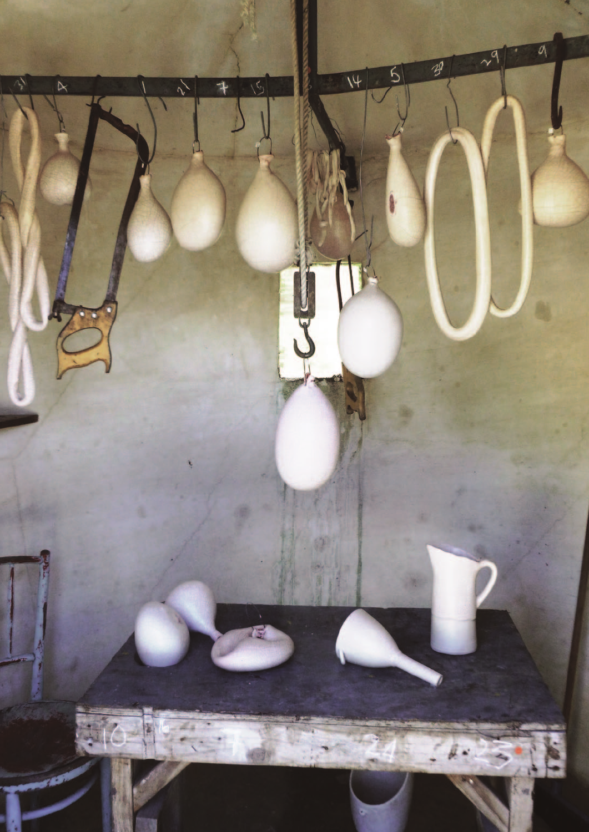